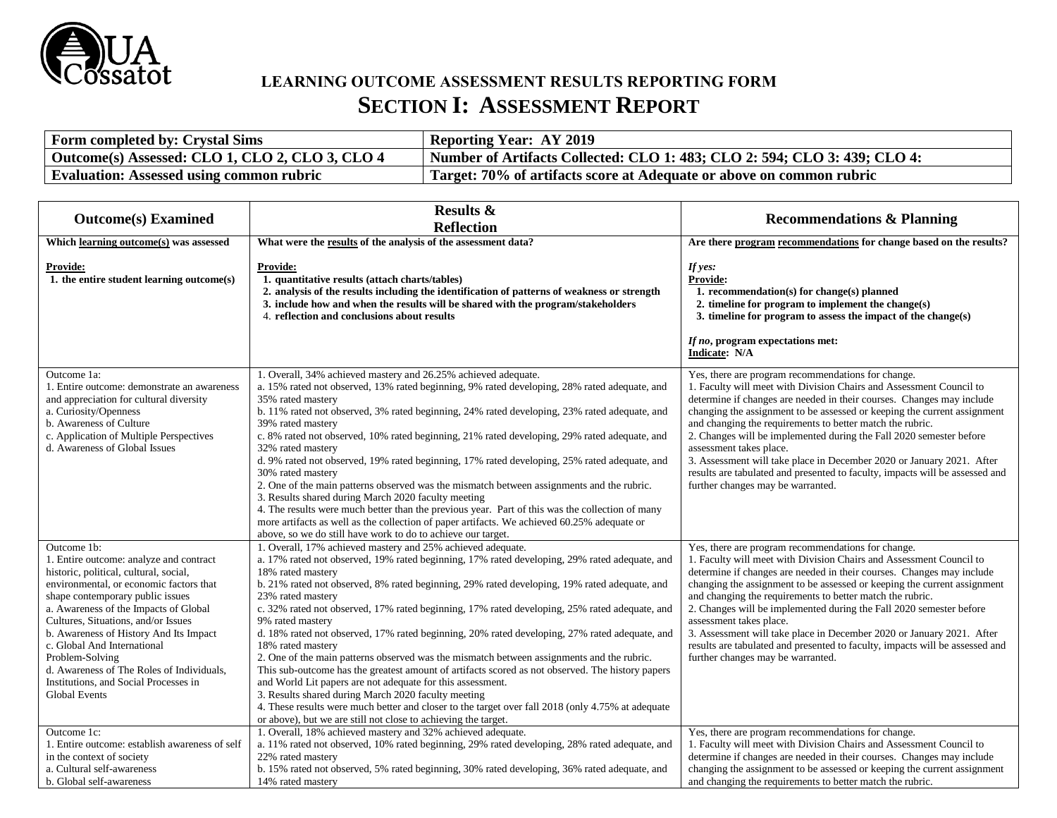

# **LEARNING OUTCOME ASSESSMENT RESULTS REPORTING FORM SECTION I: ASSESSMENT REPORT**

| <b>Form completed by: Crystal Sims</b>          | <b>Reporting Year: AY 2019</b>                                                        |
|-------------------------------------------------|---------------------------------------------------------------------------------------|
| Outcome(s) Assessed: CLO 1, CLO 2, CLO 3, CLO 4 | $^{\prime}$ Number of Artifacts Collected: CLO 1: 483; CLO 2: 594; CLO 3: 439; CLO 4: |
| <b>Evaluation: Assessed using common rubric</b> | Target: 70% of artifacts score at Adequate or above on common rubric                  |

|                                                                                                                                                                                                                                                                                                                                                                                                                                                                           | <b>Results &amp;</b>                                                                                                                                                                                                                                                                                                                                                                                                                                                                                                                                                                                                                                                                                                                                                                                                                                                                                                                                                                                                                           |                                                                                                                                                                                                                                                                                                                                                                                                                                                                                                                                                                                                                                             |
|---------------------------------------------------------------------------------------------------------------------------------------------------------------------------------------------------------------------------------------------------------------------------------------------------------------------------------------------------------------------------------------------------------------------------------------------------------------------------|------------------------------------------------------------------------------------------------------------------------------------------------------------------------------------------------------------------------------------------------------------------------------------------------------------------------------------------------------------------------------------------------------------------------------------------------------------------------------------------------------------------------------------------------------------------------------------------------------------------------------------------------------------------------------------------------------------------------------------------------------------------------------------------------------------------------------------------------------------------------------------------------------------------------------------------------------------------------------------------------------------------------------------------------|---------------------------------------------------------------------------------------------------------------------------------------------------------------------------------------------------------------------------------------------------------------------------------------------------------------------------------------------------------------------------------------------------------------------------------------------------------------------------------------------------------------------------------------------------------------------------------------------------------------------------------------------|
| <b>Outcome(s)</b> Examined                                                                                                                                                                                                                                                                                                                                                                                                                                                | <b>Reflection</b>                                                                                                                                                                                                                                                                                                                                                                                                                                                                                                                                                                                                                                                                                                                                                                                                                                                                                                                                                                                                                              | <b>Recommendations &amp; Planning</b>                                                                                                                                                                                                                                                                                                                                                                                                                                                                                                                                                                                                       |
| Which learning outcome(s) was assessed                                                                                                                                                                                                                                                                                                                                                                                                                                    | What were the results of the analysis of the assessment data?                                                                                                                                                                                                                                                                                                                                                                                                                                                                                                                                                                                                                                                                                                                                                                                                                                                                                                                                                                                  | Are there program recommendations for change based on the results?                                                                                                                                                                                                                                                                                                                                                                                                                                                                                                                                                                          |
| <b>Provide:</b><br>1. the entire student learning outcome(s)                                                                                                                                                                                                                                                                                                                                                                                                              | <b>Provide:</b><br>1. quantitative results (attach charts/tables)<br>2. analysis of the results including the identification of patterns of weakness or strength<br>3. include how and when the results will be shared with the program/stakeholders<br>4. reflection and conclusions about results                                                                                                                                                                                                                                                                                                                                                                                                                                                                                                                                                                                                                                                                                                                                            | If $yes:$<br><b>Provide:</b><br>1. recommendation(s) for change(s) planned<br>2. timeline for program to implement the change(s)<br>3. timeline for program to assess the impact of the change(s)<br>If no, program expectations met:<br>Indicate: N/A                                                                                                                                                                                                                                                                                                                                                                                      |
| Outcome 1a:<br>1. Entire outcome: demonstrate an awareness<br>and appreciation for cultural diversity<br>a. Curiosity/Openness<br>b. Awareness of Culture<br>c. Application of Multiple Perspectives<br>d. Awareness of Global Issues                                                                                                                                                                                                                                     | 1. Overall, 34% achieved mastery and 26.25% achieved adequate.<br>a. 15% rated not observed, 13% rated beginning, 9% rated developing, 28% rated adequate, and<br>35% rated mastery<br>b. 11% rated not observed, 3% rated beginning, 24% rated developing, 23% rated adequate, and<br>39% rated mastery<br>c. 8% rated not observed, 10% rated beginning, 21% rated developing, 29% rated adequate, and<br>32% rated mastery<br>d. 9% rated not observed, 19% rated beginning, 17% rated developing, 25% rated adequate, and<br>30% rated mastery<br>2. One of the main patterns observed was the mismatch between assignments and the rubric.<br>3. Results shared during March 2020 faculty meeting<br>4. The results were much better than the previous year. Part of this was the collection of many<br>more artifacts as well as the collection of paper artifacts. We achieved 60.25% adequate or<br>above, so we do still have work to do to achieve our target.                                                                       | Yes, there are program recommendations for change.<br>1. Faculty will meet with Division Chairs and Assessment Council to<br>determine if changes are needed in their courses. Changes may include<br>changing the assignment to be assessed or keeping the current assignment<br>and changing the requirements to better match the rubric.<br>2. Changes will be implemented during the Fall 2020 semester before<br>assessment takes place.<br>3. Assessment will take place in December 2020 or January 2021. After<br>results are tabulated and presented to faculty, impacts will be assessed and<br>further changes may be warranted. |
| Outcome 1b:<br>1. Entire outcome: analyze and contract<br>historic, political, cultural, social,<br>environmental, or economic factors that<br>shape contemporary public issues<br>a. Awareness of the Impacts of Global<br>Cultures, Situations, and/or Issues<br>b. Awareness of History And Its Impact<br>c. Global And International<br>Problem-Solving<br>d. Awareness of The Roles of Individuals,<br>Institutions, and Social Processes in<br><b>Global Events</b> | 1. Overall, 17% achieved mastery and 25% achieved adequate.<br>a. 17% rated not observed, 19% rated beginning, 17% rated developing, 29% rated adequate, and<br>18% rated mastery<br>b. 21% rated not observed, 8% rated beginning, 29% rated developing, 19% rated adequate, and<br>23% rated mastery<br>c. 32% rated not observed, 17% rated beginning, 17% rated developing, 25% rated adequate, and<br>9% rated mastery<br>d. 18% rated not observed, 17% rated beginning, 20% rated developing, 27% rated adequate, and<br>18% rated mastery<br>2. One of the main patterns observed was the mismatch between assignments and the rubric.<br>This sub-outcome has the greatest amount of artifacts scored as not observed. The history papers<br>and World Lit papers are not adequate for this assessment.<br>3. Results shared during March 2020 faculty meeting<br>4. These results were much better and closer to the target over fall 2018 (only 4.75% at adequate<br>or above), but we are still not close to achieving the target. | Yes, there are program recommendations for change.<br>1. Faculty will meet with Division Chairs and Assessment Council to<br>determine if changes are needed in their courses. Changes may include<br>changing the assignment to be assessed or keeping the current assignment<br>and changing the requirements to better match the rubric.<br>2. Changes will be implemented during the Fall 2020 semester before<br>assessment takes place.<br>3. Assessment will take place in December 2020 or January 2021. After<br>results are tabulated and presented to faculty, impacts will be assessed and<br>further changes may be warranted. |
| Outcome 1c:<br>1. Entire outcome: establish awareness of self<br>in the context of society<br>a. Cultural self-awareness<br>b. Global self-awareness                                                                                                                                                                                                                                                                                                                      | 1. Overall, 18% achieved mastery and 32% achieved adequate.<br>a. 11% rated not observed, 10% rated beginning, 29% rated developing, 28% rated adequate, and<br>22% rated mastery<br>b. 15% rated not observed, 5% rated beginning, 30% rated developing, 36% rated adequate, and<br>14% rated mastery                                                                                                                                                                                                                                                                                                                                                                                                                                                                                                                                                                                                                                                                                                                                         | Yes, there are program recommendations for change.<br>1. Faculty will meet with Division Chairs and Assessment Council to<br>determine if changes are needed in their courses. Changes may include<br>changing the assignment to be assessed or keeping the current assignment<br>and changing the requirements to better match the rubric.                                                                                                                                                                                                                                                                                                 |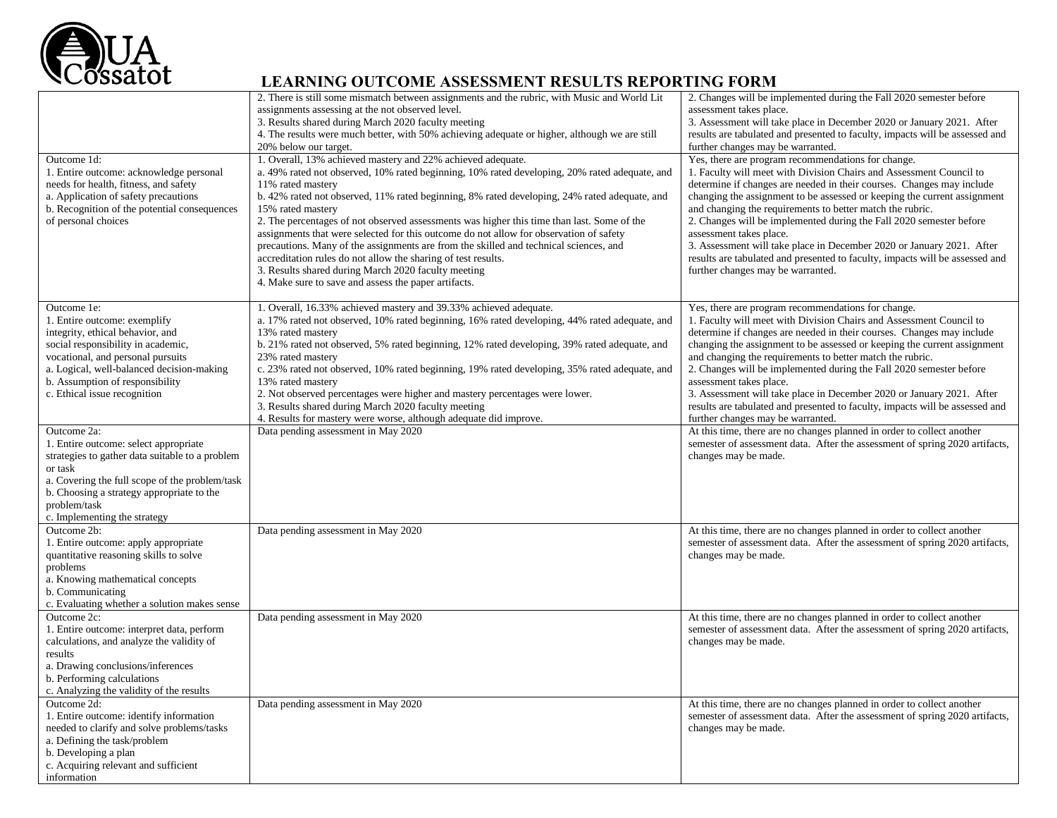

|                                                 | 2. There is still some mismatch between assignments and the rubric, with Music and World Lit  | 2. Changes will be implemented during the Fall 2020 semester before          |
|-------------------------------------------------|-----------------------------------------------------------------------------------------------|------------------------------------------------------------------------------|
|                                                 | assignments assessing at the not observed level.                                              | assessment takes place.                                                      |
|                                                 | 3. Results shared during March 2020 faculty meeting                                           | 3. Assessment will take place in December 2020 or January 2021. After        |
|                                                 |                                                                                               |                                                                              |
|                                                 | 4. The results were much better, with 50% achieving adequate or higher, although we are still | results are tabulated and presented to faculty, impacts will be assessed and |
|                                                 | 20% below our target.                                                                         | further changes may be warranted.                                            |
| Outcome 1d:                                     | 1. Overall, 13% achieved mastery and 22% achieved adequate.                                   | Yes, there are program recommendations for change.                           |
| 1. Entire outcome: acknowledge personal         | a. 49% rated not observed, 10% rated beginning, 10% rated developing, 20% rated adequate, and | 1. Faculty will meet with Division Chairs and Assessment Council to          |
| needs for health, fitness, and safety           | 11% rated mastery                                                                             | determine if changes are needed in their courses. Changes may include        |
| a. Application of safety precautions            | b. 42% rated not observed, 11% rated beginning, 8% rated developing, 24% rated adequate, and  | changing the assignment to be assessed or keeping the current assignment     |
| b. Recognition of the potential consequences    | 15% rated mastery                                                                             | and changing the requirements to better match the rubric.                    |
| of personal choices                             | 2. The percentages of not observed assessments was higher this time than last. Some of the    | 2. Changes will be implemented during the Fall 2020 semester before          |
|                                                 | assignments that were selected for this outcome do not allow for observation of safety        | assessment takes place.                                                      |
|                                                 | precautions. Many of the assignments are from the skilled and technical sciences, and         | 3. Assessment will take place in December 2020 or January 2021. After        |
|                                                 | accreditation rules do not allow the sharing of test results.                                 | results are tabulated and presented to faculty, impacts will be assessed and |
|                                                 |                                                                                               |                                                                              |
|                                                 | 3. Results shared during March 2020 faculty meeting                                           | further changes may be warranted.                                            |
|                                                 | 4. Make sure to save and assess the paper artifacts.                                          |                                                                              |
| Outcome 1e:                                     | 1. Overall, 16.33% achieved mastery and 39.33% achieved adequate.                             | Yes, there are program recommendations for change.                           |
|                                                 |                                                                                               |                                                                              |
| 1. Entire outcome: exemplify                    | a. 17% rated not observed, 10% rated beginning, 16% rated developing, 44% rated adequate, and | 1. Faculty will meet with Division Chairs and Assessment Council to          |
| integrity, ethical behavior, and                | 13% rated mastery                                                                             | determine if changes are needed in their courses. Changes may include        |
| social responsibility in academic,              | b. 21% rated not observed, 5% rated beginning, 12% rated developing, 39% rated adequate, and  | changing the assignment to be assessed or keeping the current assignment     |
| vocational, and personal pursuits               | 23% rated mastery                                                                             | and changing the requirements to better match the rubric.                    |
| a. Logical, well-balanced decision-making       | c. 23% rated not observed, 10% rated beginning, 19% rated developing, 35% rated adequate, and | 2. Changes will be implemented during the Fall 2020 semester before          |
| b. Assumption of responsibility                 | 13% rated mastery                                                                             | assessment takes place.                                                      |
| c. Ethical issue recognition                    | 2. Not observed percentages were higher and mastery percentages were lower.                   | 3. Assessment will take place in December 2020 or January 2021. After        |
|                                                 | 3. Results shared during March 2020 faculty meeting                                           | results are tabulated and presented to faculty, impacts will be assessed and |
|                                                 | 4. Results for mastery were worse, although adequate did improve.                             | further changes may be warranted.                                            |
| Outcome 2a:                                     | Data pending assessment in May 2020                                                           | At this time, there are no changes planned in order to collect another       |
| 1. Entire outcome: select appropriate           |                                                                                               | semester of assessment data. After the assessment of spring 2020 artifacts,  |
| strategies to gather data suitable to a problem |                                                                                               | changes may be made.                                                         |
| or task                                         |                                                                                               |                                                                              |
| a. Covering the full scope of the problem/task  |                                                                                               |                                                                              |
| b. Choosing a strategy appropriate to the       |                                                                                               |                                                                              |
| problem/task                                    |                                                                                               |                                                                              |
|                                                 |                                                                                               |                                                                              |
| c. Implementing the strategy                    |                                                                                               |                                                                              |
| Outcome 2b:                                     | Data pending assessment in May 2020                                                           | At this time, there are no changes planned in order to collect another       |
| 1. Entire outcome: apply appropriate            |                                                                                               | semester of assessment data. After the assessment of spring 2020 artifacts,  |
| quantitative reasoning skills to solve          |                                                                                               | changes may be made.                                                         |
| problems                                        |                                                                                               |                                                                              |
| a. Knowing mathematical concepts                |                                                                                               |                                                                              |
| b. Communicating                                |                                                                                               |                                                                              |
| c. Evaluating whether a solution makes sense    |                                                                                               |                                                                              |
| Outcome 2c:                                     | Data pending assessment in May 2020                                                           | At this time, there are no changes planned in order to collect another       |
| 1. Entire outcome: interpret data, perform      |                                                                                               | semester of assessment data. After the assessment of spring 2020 artifacts,  |
| calculations, and analyze the validity of       |                                                                                               | changes may be made.                                                         |
| results                                         |                                                                                               |                                                                              |
| a. Drawing conclusions/inferences               |                                                                                               |                                                                              |
| b. Performing calculations                      |                                                                                               |                                                                              |
| c. Analyzing the validity of the results        |                                                                                               |                                                                              |
| Outcome 2d:                                     | Data pending assessment in May 2020                                                           | At this time, there are no changes planned in order to collect another       |
| 1. Entire outcome: identify information         |                                                                                               | semester of assessment data. After the assessment of spring 2020 artifacts,  |
| needed to clarify and solve problems/tasks      |                                                                                               | changes may be made.                                                         |
| a. Defining the task/problem                    |                                                                                               |                                                                              |
| b. Developing a plan                            |                                                                                               |                                                                              |
| c. Acquiring relevant and sufficient            |                                                                                               |                                                                              |
| information                                     |                                                                                               |                                                                              |
|                                                 |                                                                                               |                                                                              |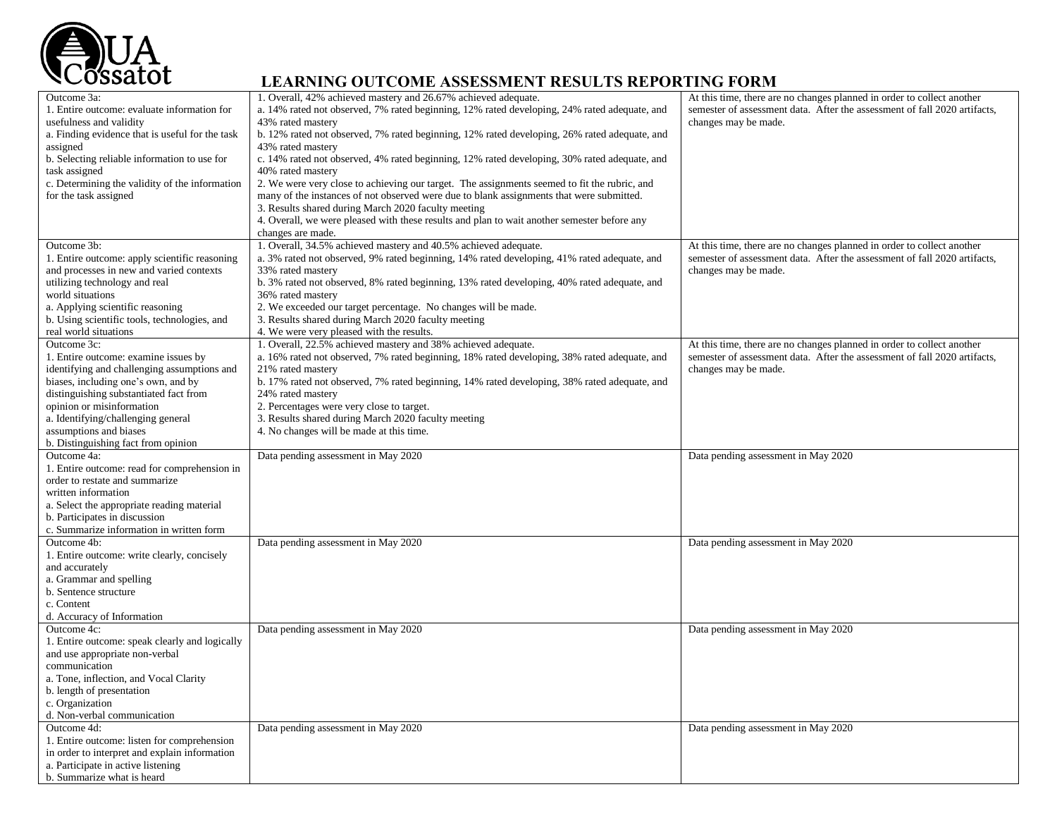

| Outcome 3a:                                     | 1. Overall, 42% achieved mastery and 26.67% achieved adequate.                               | At this time, there are no changes planned in order to collect another    |
|-------------------------------------------------|----------------------------------------------------------------------------------------------|---------------------------------------------------------------------------|
| 1. Entire outcome: evaluate information for     | a. 14% rated not observed, 7% rated beginning, 12% rated developing, 24% rated adequate, and | semester of assessment data. After the assessment of fall 2020 artifacts, |
| usefulness and validity                         | 43% rated mastery                                                                            | changes may be made.                                                      |
| a. Finding evidence that is useful for the task | b. 12% rated not observed, 7% rated beginning, 12% rated developing, 26% rated adequate, and |                                                                           |
| assigned                                        | 43% rated mastery                                                                            |                                                                           |
| b. Selecting reliable information to use for    | c. 14% rated not observed, 4% rated beginning, 12% rated developing, 30% rated adequate, and |                                                                           |
| task assigned                                   | 40% rated mastery                                                                            |                                                                           |
| c. Determining the validity of the information  | 2. We were very close to achieving our target. The assignments seemed to fit the rubric, and |                                                                           |
| for the task assigned                           | many of the instances of not observed were due to blank assignments that were submitted.     |                                                                           |
|                                                 | 3. Results shared during March 2020 faculty meeting                                          |                                                                           |
|                                                 | 4. Overall, we were pleased with these results and plan to wait another semester before any  |                                                                           |
|                                                 | changes are made.                                                                            |                                                                           |
| Outcome 3b:                                     | 1. Overall, 34.5% achieved mastery and 40.5% achieved adequate.                              | At this time, there are no changes planned in order to collect another    |
| 1. Entire outcome: apply scientific reasoning   | a. 3% rated not observed, 9% rated beginning, 14% rated developing, 41% rated adequate, and  | semester of assessment data. After the assessment of fall 2020 artifacts, |
| and processes in new and varied contexts        | 33% rated mastery                                                                            | changes may be made.                                                      |
| utilizing technology and real                   | b. 3% rated not observed, 8% rated beginning, 13% rated developing, 40% rated adequate, and  |                                                                           |
|                                                 |                                                                                              |                                                                           |
| world situations                                | 36% rated mastery                                                                            |                                                                           |
| a. Applying scientific reasoning                | 2. We exceeded our target percentage. No changes will be made.                               |                                                                           |
| b. Using scientific tools, technologies, and    | 3. Results shared during March 2020 faculty meeting                                          |                                                                           |
| real world situations                           | 4. We were very pleased with the results.                                                    |                                                                           |
| Outcome 3c:                                     | 1. Overall, 22.5% achieved mastery and 38% achieved adequate.                                | At this time, there are no changes planned in order to collect another    |
| 1. Entire outcome: examine issues by            | a. 16% rated not observed, 7% rated beginning, 18% rated developing, 38% rated adequate, and | semester of assessment data. After the assessment of fall 2020 artifacts, |
| identifying and challenging assumptions and     | 21% rated mastery                                                                            | changes may be made.                                                      |
| biases, including one's own, and by             | b. 17% rated not observed, 7% rated beginning, 14% rated developing, 38% rated adequate, and |                                                                           |
| distinguishing substantiated fact from          | 24% rated mastery                                                                            |                                                                           |
| opinion or misinformation                       | 2. Percentages were very close to target.                                                    |                                                                           |
| a. Identifying/challenging general              | 3. Results shared during March 2020 faculty meeting                                          |                                                                           |
| assumptions and biases                          | 4. No changes will be made at this time.                                                     |                                                                           |
| b. Distinguishing fact from opinion             |                                                                                              |                                                                           |
| Outcome 4a:                                     | Data pending assessment in May 2020                                                          | Data pending assessment in May 2020                                       |
| 1. Entire outcome: read for comprehension in    |                                                                                              |                                                                           |
| order to restate and summarize                  |                                                                                              |                                                                           |
| written information                             |                                                                                              |                                                                           |
| a. Select the appropriate reading material      |                                                                                              |                                                                           |
| b. Participates in discussion                   |                                                                                              |                                                                           |
| c. Summarize information in written form        |                                                                                              |                                                                           |
| Outcome 4b:                                     | Data pending assessment in May 2020                                                          | Data pending assessment in May 2020                                       |
| 1. Entire outcome: write clearly, concisely     |                                                                                              |                                                                           |
| and accurately                                  |                                                                                              |                                                                           |
| a. Grammar and spelling                         |                                                                                              |                                                                           |
| b. Sentence structure                           |                                                                                              |                                                                           |
| c. Content                                      |                                                                                              |                                                                           |
| d. Accuracy of Information                      |                                                                                              |                                                                           |
| Outcome 4c:                                     | Data pending assessment in May 2020                                                          | Data pending assessment in May 2020                                       |
| 1. Entire outcome: speak clearly and logically  |                                                                                              |                                                                           |
| and use appropriate non-verbal                  |                                                                                              |                                                                           |
| communication                                   |                                                                                              |                                                                           |
| a. Tone, inflection, and Vocal Clarity          |                                                                                              |                                                                           |
| b. length of presentation                       |                                                                                              |                                                                           |
| c. Organization                                 |                                                                                              |                                                                           |
| d. Non-verbal communication                     |                                                                                              |                                                                           |
| Outcome 4d:                                     | Data pending assessment in May 2020                                                          | Data pending assessment in May 2020                                       |
| 1. Entire outcome: listen for comprehension     |                                                                                              |                                                                           |
| in order to interpret and explain information   |                                                                                              |                                                                           |
| a. Participate in active listening              |                                                                                              |                                                                           |
| b. Summarize what is heard                      |                                                                                              |                                                                           |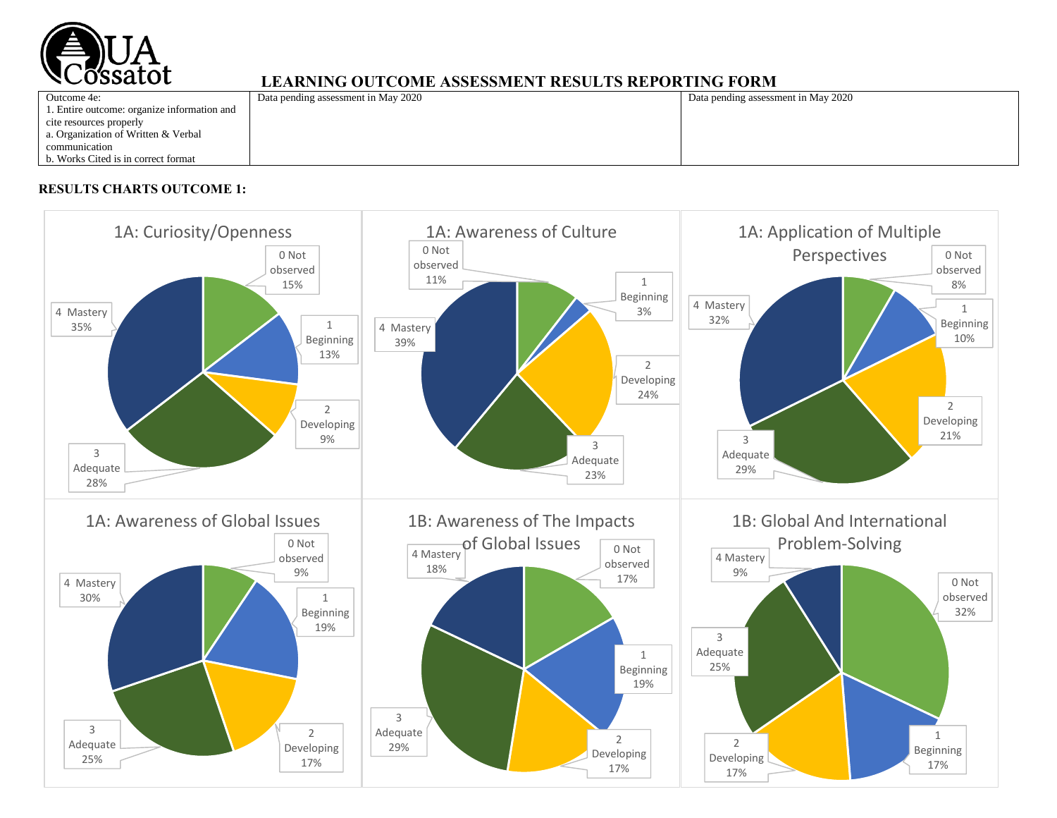

| <u>BBRITTING OVEVOLLOIDING INDILITETTI AUGUSTI SENE VIITING EVINIE</u> |                                     |                                     |  |
|------------------------------------------------------------------------|-------------------------------------|-------------------------------------|--|
| Outcome 4e:                                                            | Data pending assessment in May 2020 | Data pending assessment in May 2020 |  |
| 1. Entire outcome: organize information and                            |                                     |                                     |  |
| cite resources properly                                                |                                     |                                     |  |
| a. Organization of Written & Verbal                                    |                                     |                                     |  |
| communication                                                          |                                     |                                     |  |
| b. Works Cited is in correct format                                    |                                     |                                     |  |
|                                                                        |                                     |                                     |  |

## **RESULTS CHARTS OUTCOME 1:**

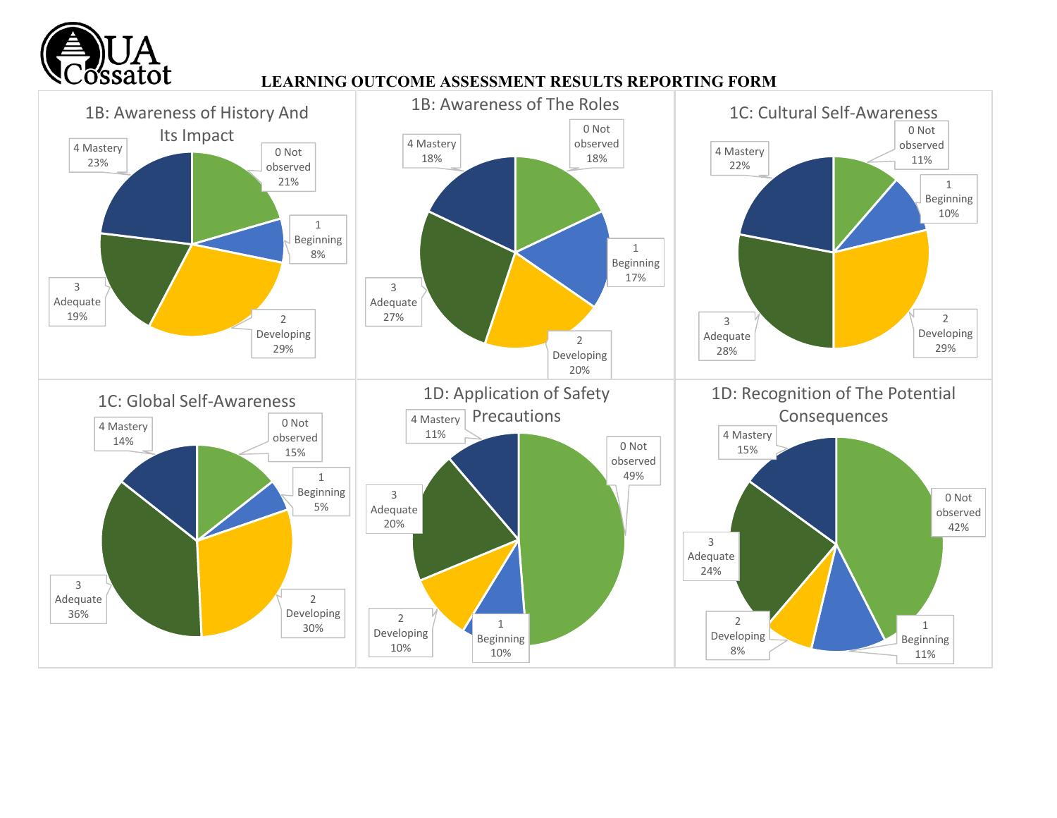

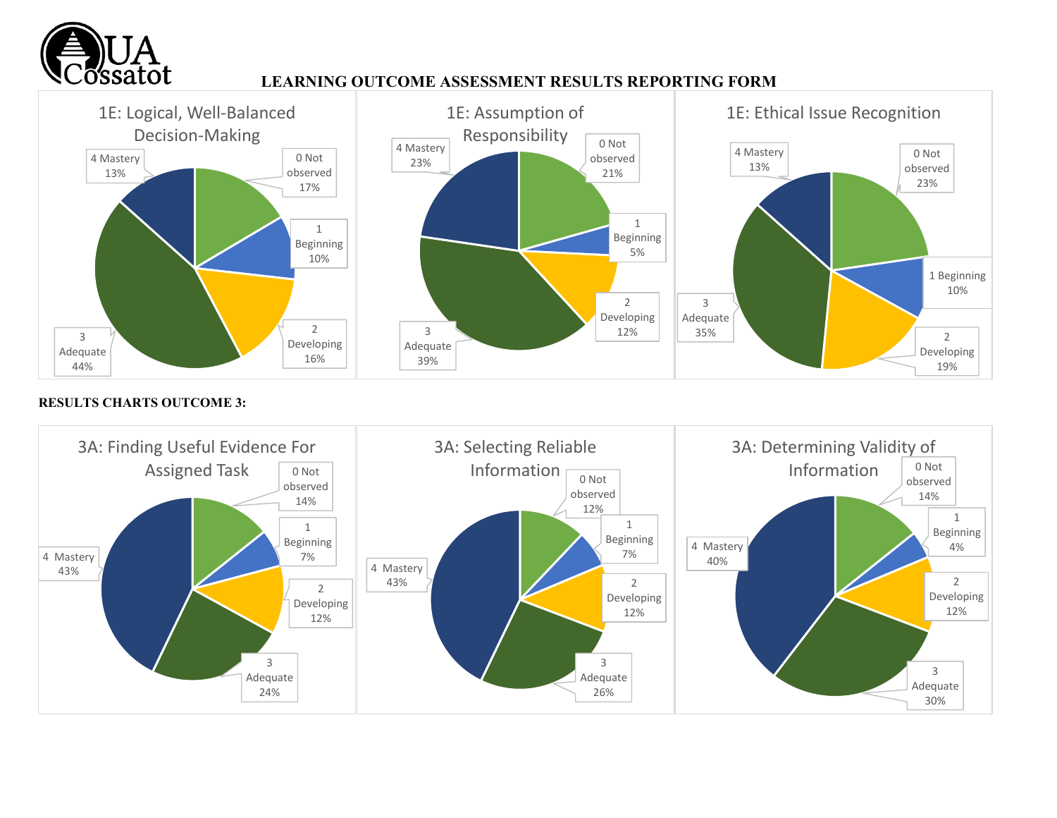



#### **RESULTS CHARTS OUTCOME 3:**